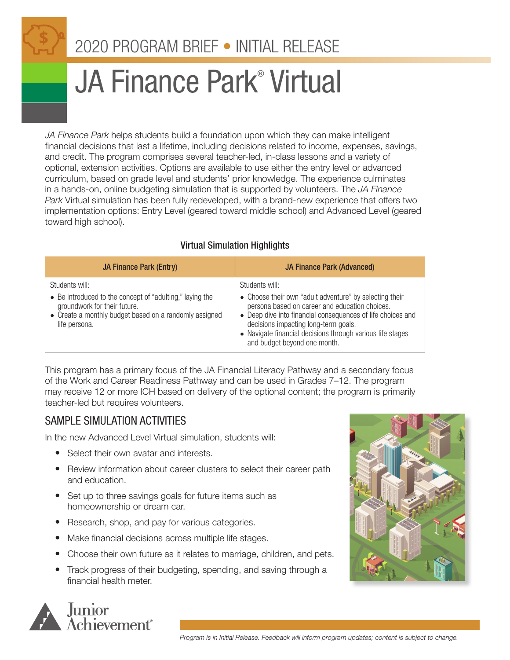# 2020 PROGRAM BRIEF • INITIAL RELEASE

# JA Finance Park® Virtual

*JA Finance Park* helps students build a foundation upon which they can make intelligent financial decisions that last a lifetime, including decisions related to income, expenses, savings, and credit. The program comprises several teacher-led, in-class lessons and a variety of optional, extension activities. Options are available to use either the entry level or advanced curriculum, based on grade level and students' prior knowledge. The experience culminates in a hands-on, online budgeting simulation that is supported by volunteers. The *JA Finance Park* Virtual simulation has been fully redeveloped, with a brand-new experience that offers two implementation options: Entry Level (geared toward middle school) and Advanced Level (geared toward high school).

| <b>JA Finance Park (Entry)</b>                                                                                                                                                        | <b>JA Finance Park (Advanced)</b>                                                                                                                                                                                                                                                                                                |
|---------------------------------------------------------------------------------------------------------------------------------------------------------------------------------------|----------------------------------------------------------------------------------------------------------------------------------------------------------------------------------------------------------------------------------------------------------------------------------------------------------------------------------|
| Students will:<br>• Be introduced to the concept of "adulting," laying the<br>groundwork for their future.<br>• Create a monthly budget based on a randomly assigned<br>life persona. | Students will:<br>• Choose their own "adult adventure" by selecting their<br>persona based on career and education choices.<br>• Deep dive into financial consequences of life choices and<br>decisions impacting long-term goals.<br>• Navigate financial decisions through various life stages<br>and budget beyond one month. |

#### Virtual Simulation Highlights

This program has a primary focus of the JA Financial Literacy Pathway and a secondary focus of the Work and Career Readiness Pathway and can be used in Grades 7–12. The program may receive 12 or more ICH based on delivery of the optional content; the program is primarily teacher-led but requires volunteers.

## SAMPLE SIMULATION ACTIVITIES

In the new Advanced Level Virtual simulation, students will:

- Select their own avatar and interests.
- Review information about career clusters to select their career path and education.
- Set up to three savings goals for future items such as homeownership or dream car.
- Research, shop, and pay for various categories.
- Make financial decisions across multiple life stages.
- Choose their own future as it relates to marriage, children, and pets.
- Track progress of their budgeting, spending, and saving through a financial health meter.